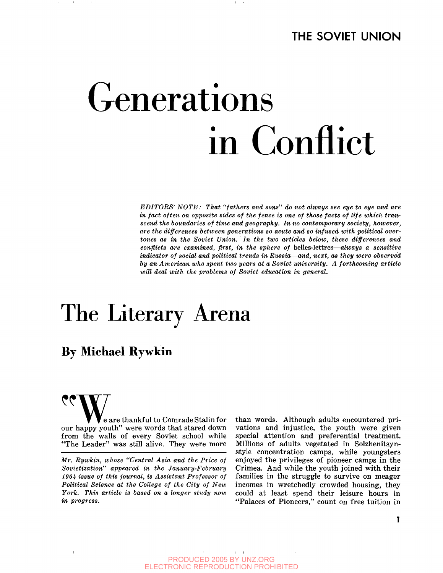# Generations in Conflict

*EDITORS' NOTE: That "fathers and sons" do not always see eye to eye and are in fact often on opposite sides of the fence is one of those facts of life which transcend the boundaries of time and geography. In no contemporary society, however, are the differences between generations so acute and so infused with political overtones as in the Soviet Union. In the two articles below, these differences and conflicts are examined, first, in the sphere of* belles-lettres—*always a sensitive indicator of social and political trends in Russia*—*and, next, as they were observed by an American who spent two years at a Soviet university. A forthcoming article will deal with the problems of Soviet education in general.*

# The Literary Arena

## **By Michael Rywkin**

e are thankful to Comrade Stalin for our happy youth" were words that stared down from the walls of every Soviet school while "The Leader" was still alive. They were more

than words. Although adults encountered privations and injustice, the youth were given special attention and preferential treatment. Millions of adults vegetated in Solzhenitsynstyle concentration camps, while youngsters enjoyed the privileges of pioneer camps in the Crimea. And while the youth joined with their families in the struggle to survive on meager incomes in wretchedly crowded housing, they could at least spend their leisure hours in "Palaces of Pioneers," count on free tuition in

**CONTRACTOR** PRODUCED 2005 BY UNZ.ORG ELECTRONIC REPRODUCTION PROHIBITED

*Mr. Rywkin, whose "Central Asia and the Price of Sovietization" appeared in the January-February 196it issue of this journal, is Assistant Professor of Political Science at the College of the City of New York. This article is based on a longer study now in progress.*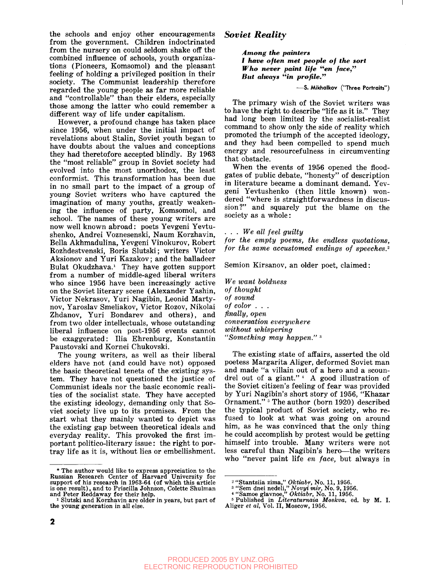the schools and enjoy other encouragements from the government. Children indoctrinated from the nursery on could seldom shake off the combined influence of schools, youth organizations (Pioneers, Komsomol) and the pleasant feeling of holding a privileged position in their society. The Communist leadership therefore regarded the young people as far more reliable and "controllable" than their elders, especially those among the latter who could remember a different way of life under capitalism.

However, a profound change has taken place since 1956, when under the initial impact of revelations about Stalin, Soviet youth began to have doubts about the values and conceptions they had theretofore accepted blindly. By 1963 the "most reliable" group in Soviet society had evolved into the most unorthodox, the least conformist. This transformation has been due in no small part to the impact of a group of young Soviet writers who have captured the imagination of many youths, greatly weakening the influence of party, Komsomol, and school. The names of these young writers are now well known abroad: poets Yevgeni Yevtushenko, Andrei Voznesenski, Naum Korzhavin, Bella Akhmadulina, Yevgeni Vinokurov, Robert Rozhdestvenski, Boris Slutski; writers Victor Aksionov and Yuri Kazakov; and the balladeer Bulat Okudzhava.<sup>1</sup> They have gotten support from a number of middle-aged liberal writers who since 1956 have been increasingly active on the Soviet literary scene (Alexander Yashin, Victor Nekrasov, Yuri Nagibin, Leonid Martynov, Yaroslav Smeliakov, Victor Rozov, Nikolai Zhdanov, Yuri Bondarev and others), and from two older intellectuals, whose outstanding liberal influence on post-1956 events cannot be exaggerated: Ilia Ehrenburg, Konstantin Paustovski and Kornei Chukovski.

The young writers, as well as their liberal elders have not (and could have not) opposed the basic theoretical tenets of the existing system. They have not questioned the justice of Communist ideals nor the basic economic realities of the socialist state. They have accepted the existing ideology, demanding only that Soviet society live up to its promises. From the start what they mainly wanted to depict was the existing gap between theoretical ideals and everyday reality. This provoked the first important politico-literary issue: the right to portray life as it is, without lies or embellishment.

#### *Soviet Reality*

*Among the painters I have often met people of the sort Who never paint life "en face," But always "in profile."*

#### **—S. Mikhalkov ("Three Portraits")**

The primary wish of the Soviet writers was to have the right to describe "life as it is." They had long been limited by the socialist-realist command to show only the side of reality which promoted the triumph of the accepted ideology, and they had been compelled to spend much energy and resourcefulness in circumventing that obstacle.

When the events of 1956 opened the floodgates of public debate, "honesty" of description in literature became a dominant demand. Yevgeni Yevtushenko (then little known) wondered "where is straightforwardness in discussion?" and squarely put the blame on the society as a whole:

. . . *We all feel guilty*

*for the empty poems, the endless quotations, for the same accustomed endings of speeches.<sup>2</sup>*

Semion Kirsanov, an older poet, claimed:

*We want boldness of thought of sound of color . . . finally, open conversation everywhere without whispering "Something may happen."*<sup>3</sup>

The existing state of affairs, asserted the old poetess Margarita Aliger, deformed Soviet man and made "a villain out of a hero and a scoundrel out of a giant."<sup>4</sup> A good illustration of the Soviet citizen's feeling of fear was provided by Yuri Nagibin's short story of 1956, "Khazar Ornament." <sup>5</sup> The author (born 1920) described the typical product of Soviet society, who refused to look at what was going on around him, as he was convinced that the only thing he could accomplish by protest would be getting himself into trouble. Many writers were not less careful than Nagibin's hero—the writers who "never paint life *en face,* but always in

<sup>\*</sup> The author would like to express appreciation to the Russian Research Center of Harvard University for support of his research in 1963-64 (of which this article is one result), and to Priscilla Johnson, Colette Shulman and Peter Reddaway for their help.

<sup>&</sup>lt;sup>1</sup> Slutski and Korzhavin are older in years, but part of the young generation in all else.

<sup>2</sup> "Stantsiia zima," *Oktiabr,* No. 11, 1956. 3 "Sem dnei nedeli," *Novyi mir,* No. 9,1956. *\** "Samoe glavnoe," *Oktiabr,* No. 11, 1956. 5 Published in *Literaturnaia Moskva,* ed. by M. I. Aliger *et al,* Vol. II, Moscow, 1956.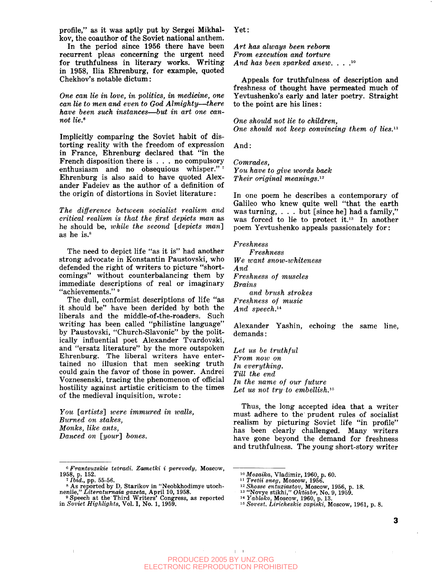profile," as it was aptly put by Sergei Mikhalkov, the coauthor of the Soviet national anthem.

In the period since 1956 there have been recurrent pleas concerning the urgent need for truthfulness in literary works. Writing in 1958, Ilia Ehrenburg, for example, quoted Chekhov's notable dictum:

*One can lie in love, in politics, in medicine, one can lie to men and even to God Almighty*—*there have been such instances*—*but in art one cannot lie.\**

Implicitly comparing the Soviet habit of distorting reality with the freedom of expression in France, Ehrenburg declared that "in the French disposition there is .. . no compulsory enthusiasm and no obsequious whisper." Ehrenburg is also said to have quoted Alexander Fadeiev as the author of a definition of the origin of distortions in Soviet literature:

*The difference between socialist realism and critical realism is that the first depicts man* as he should be, *while the second [depicts man]* as he is.<sup>8</sup>

The need to depict life "as it is" had another strong advocate in Konstantin Paustovski, who defended the right of writers to picture "shortcomings" without counterbalancing them by immediate descriptions of real or imaginary "achievements."

The dull, conformist descriptions of life "as it should be" have been derided by both the liberals and the middle-of-the-roaders. Such writing has been called "philistine language" by Paustovski, "Church-Slavonic" by the politically influential poet Alexander Tvardovski, and "ersatz literature" by the more outspoken Ehrenburg. The liberal writers have entertained no illusion that men seeking truth could gain the favor of those in power. Andrei Voznesenski, tracing the phenomenon of official hostility against artistic criticism to the times of the medieval inquisition, wrote:

*You [artists'] were immured in ivalls, Burned on stakes, Monks, like ants, Danced on [your] bones.*

 $\overline{1}$ 

Yet:

*Art has always been reborn From execution and torture And has been sparked anew. . .* . 10

Appeals for truthfulness of description and freshness of thought have permeated much of Yevtushenko's early and later poetry. Straight to the point are his lines:

*One should not lie to children, One should not keep convincing them of lies.<sup>11</sup>*

And:

Comrades, *You have to give words back Their original meanings.*<sup>12</sup>

In one poem he describes a contemporary of In one poem he describes a contemporary of<br>Calilee who lynew quite well "that the conth Galileo who knew quite well "that the earth" was turning, . . . but [since he] had a family," was forced to lie to protect it.<sup>13</sup> In another<br>near Vautusbanke annuals pessionately four poem Yevtushenko appeals passionately for:

*Freshness Freshness We want snow-whiteness And Freshness of muscles Brains and brush strokes Freshness of music And speech.<sup>14</sup>*

Alexander Yashin, echoing the same line, demands:

*Let us be truthful From noiv on In everything. Till the end In the name of our future* Let us not try to embellish.<sup>15</sup>

Thus, the long accepted idea that a writer must adhere to the prudent rules of socialist realism by picturing Soviet life "in profile" has been clearly challenged. Many writers have gone beyond the demand for freshness and truthfulness. The young short-story writer

 $\pm$   $\pm$ 

<sup>0</sup>  *Frantsuzskie tetradi. Zametki i perevody,* Moscow, 1958, p. 152. *1 Ibid.,* pp. 55-56.

<sup>8</sup> As reported by D. Starikov in "Neobkhodimye utochneniie," *Literatumaia gazeta,* April 10, 1958. 9 Speech at the Third Writers' Congress, as reported

in *Soviet Highlights,* Vol. I, No. 1, 1959.

<sup>&</sup>lt;sup>10</sup> Mozaika, Vladimir, 1960, p. 60.<br><sup>11</sup> Tretii sneg, Moscow, 1956.<br><sup>12</sup> Shosse entuziastov, Moscow, 1956, p. 18.<br><sup>13</sup> 'Novye stikhi,'' *Oktiabr*, No. 9, 1959.<br><sup>14</sup> Yahlelastov, <sup>19</sup>

*Yabloko,* Moscow, 1960, p. 13.

<sup>5</sup>  *Sovest. Liricheskie zapiski,* Moscow, 1961, p. 8.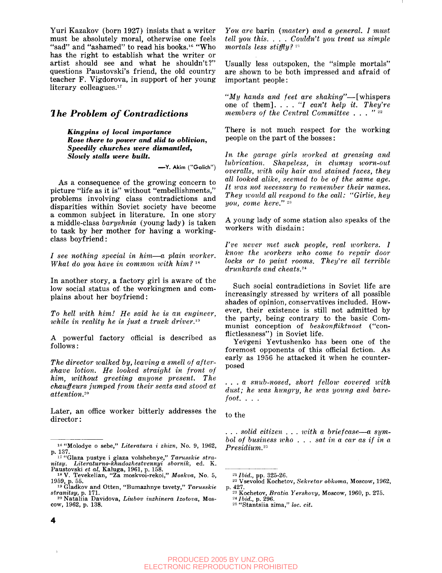Yuri Kazakov (born 1927) insists that a writer must be absolutely moral, otherwise one feels "sad" and "ashamed" to read his books.<sup>16</sup> "Who" has the right to establish what the writer or artist should see and what he shouldn't?" questions Paustovski's friend, the old country teacher F. Vigdorova, in support of her young literary colleagues.<sup>17</sup>

#### *1 he Problem of Contradictions*

*Kingpins of local importance Rose there to power and slid to oblivion, Speedily churches were dismantled, Slowly stalls were built.*

**—Y. Akim ("Golich")**

As a consequence of the growing concern to picture "life as it is" without "embellishments," problems involving class contradictions and disparities within Soviet society have become a common subject in literature. In one story a middle-class *baryshnia* (young lady) is taken to task by her mother for having a workingclass boyfriend:

/ *see nothing special in him*—*a plain tvorker. What do you have in common with him?*<sup>18</sup>

In another story, a factory girl is aware of the low social status of. the workingmen and complains about her boyfriend:

*To hell ivith him! He said he is an engineer, while in reality he is just a truck driver.in*

A powerful factory official is described as follows:

*The director walked by, leaving a smell of aftershave lotion. He looked straight in front of him, without greeting anyone present. The chauffeurs jumped from their seats and stood at attention.<sup>20</sup>*

Later, an office worker bitterly addresses the director:

*You are* barin *(master) and a general. I must tell you this. . . . Couldn't you treat us simple mortals less stiffly?-<sup>1</sup>*

Usually less outspoken, the "simple mortals" are shown to be both impressed and afraid of important people:

*"My hands and feet are shaking"*—[whispers one of them]. .. . '7 *can't help it. They're members of the Central Committee . . . "<sup>22</sup>*

There is not much respect for the working people on the part of the bosses:

*In the garage girls worked at greasing and lubrication. Shapeless, in clumsy worn-out overalls, ivith oily hair and stained faces, they all looked alike, seemed to be of the same age. It was not necessary to remember their names. They would all respond to the call: "Girlie, hey you, come here.*" <sup>23</sup>

A young lady of some station also speaks of the workers with disdain:

*I've never met such people, real workers. I know the workers who come to repair door locks or to paint rooms. They're all terrible drunkards and cheats.<sup>2</sup> \**

Such social contradictions in Soviet life are increasingly stressed by writers of all possible shades of opinion, conservatives included. However, their existence is still not admitted by the party, being contrary to the basic Communist conception of *beskonfliktnost* ("conflictlessness") in Soviet life.

Yevgeni Yevtushenko has been one of the foremost opponents of this official fiction. As early as 1956 he attacked it when he counterposed

. . . a *snub-nosed, short fellow covered with* dust; he was hungry, he was young and bare*foot. . . .*

to the

. . . *solid citizen . . . ivith a briefcase*—*a symbol of business who . . . sat in a car as if in a*  $President.25$ 

<sup>21</sup> *Ibid.*, pp. 325-26.

4

<sup>&</sup>lt;sup>16</sup> "Molodye o sebe," Literatura i zhizn, No. 9, 1962,

p. 137.<br>
<sup>17</sup> "Glaza pustye i glaza volshebnye," Tarusskie stra-<br>
nitsy. Literaturno-khudozhestvennyi sbornik, ed. K.<br>
Paustovski et al, Kaluga, 1961, p. 158.<br>
<sup>18</sup> V. Tevekelian, "Za moskvoi-rekoi," Moskva, No. 5,

<sup>1959,</sup> p. 55.<br><sup>19</sup> Gladkov and Otten, "Bumazhnye tsvety," Tarusskie

*stranitsy,* p. 171. 20 Nataliia Davidova, *Liubov inzhinera Izotova,* Mos-

cow, 1962, p. 138.

<sup>22</sup> Vsevolod Kochetov, *Sekretar obkoma,* Moscow, 1962, p. 427.

<sup>23</sup> Kochetov, *Bratia Yershovy,* Moscow, 1960, p. 275.  $^{24}$ *Ibid.*, p. 296.

<sup>25</sup> "Stantsiia zima," *loc. cit.*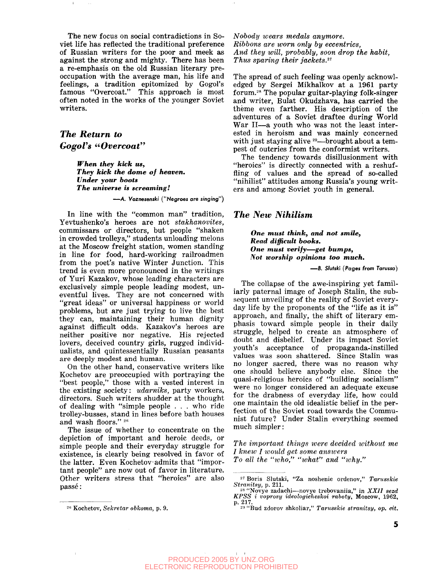The new focus on social contradictions in Soviet life has reflected the traditional preference of Russian writers for the poor and meek as against the strong and mighty. There has been a re-emphasis on the old Russian literary preoccupation with the average man, his life and feelings, a tradition epitomized by Gogol's famous "Overcoat." This approach is most often noted in the works of the younger Soviet writers.

### *The Return to Gogol's "Overcoat"*

 $\mathbf{L}$ 

*When they kick us, They kick the dome of heaven. Under your boots The universe is screaming!*

**—A. Voznesenski ("Negroes are singing")**

In line with the "common man" tradition, Yevtushenko's heroes are not *stakhanovites,* commissars or directors, but people "shaken in crowded trolleys," students unloading melons at the Moscow freight station, women standing in line for food, hard-working railroadmen from the poet's native Winter Junction. This trend is even more pronounced in the writings of Yuri Kazakov, whose leading characters are exclusively simple people leading modest, uneventful lives. They are not concerned with "great ideas" or universal happiness or world problems, but are just trying to live the best they can, maintaining their human dignity against difficult odds. Kazakov's heroes are neither positive nor negative. His rejected lovers, deceived country girls, rugged individualists, and quintessentially Russian peasants are deeply modest and human.

On the other hand, conservative writers like Kochetov are preoccupied with portraying the "best people," those with a vested interest in the existing society: *udarniks,* party workers, directors. Such writers shudder at the thought of dealing with "simple people . . . who ride trolley-busses, stand in lines before bath houses and wash floors." 26

The issue of whether to concentrate on the depiction of important and heroic deeds, or simple people and their everyday struggle for existence, is clearly being resolved in favor of the latter. Even Kochetov admits that "important people" are now out of favor in literature. Other writers stress that "heroics" are also passe:

*Nobody wears medals anymore. Ribbons are worn only by eccentrics, And they will, probably, soon drop the habit, Thus sparing their jackets.<sup>27</sup>*

The spread of such feeling was openly acknowledged by Sergei Mikhalkov at a 1961 party forum.<sup>28</sup> The popular guitar-playing folk-singer and writer, Bulat Okudzhava, has carried the theme even farther. His description of the adventures of a Soviet draftee during World War II—a youth who was not the least interested in heroism and was mainly concerned with just staying alive <sup>29</sup>—brought about a tempest of outcries from the conformist writers.

The tendency towards disillusionment with "heroics" is directly connected with a reshuffling of values and the spread of so-called "nihilist" attitudes among Russia's young writers and among Soviet youth in general.

#### *The New Nihilism*

*One must think, and not smile, Read difficult books. One must verify***—***get bumps, Not worship opinions too much.*

**—B. Slutski (Pages from Tarussa)**

The collapse of the awe-inspiring yet familiarly paternal image of Joseph Stalin, the subsequent unveiling of the reality of Soviet everyday life by the proponents of the "life as it is" approach, and finally, the shift of literary emphasis toward simple people in their daily struggle, helped to create an atmosphere of doubt and disbelief. Under its impact Soviet youth's acceptance of propaganda-instilled values was soon shattered. Since Stalin was no longer sacred, there was no reason why one should believe anybody else. Since the quasi-religious heroics of "building socialism" were no longer considered an adequate excuse for the drabness of everyday life, how could one maintain the old idealistic belief in the perfection of the Soviet road towards the Communist future? Under Stalin everything seemed much simpler:

*The important things were decided without me I knew I ivoidd get some answers To all the "who," "what" and "why."*

<sup>20</sup> Kochetov, *Sekretar obkoma,* p. 9.

<sup>27</sup> Boris Slutski, "Za noshenie ordenov," *Tarusskie Stranitsy,* p. 211.

<sup>28</sup> "Novye zadachi—novye trebovaniia," in *XXII sezd KPSS i voprosy ideologicheskoi raboty,* Moscow, 1962, p. 217.

<sup>29</sup> "Bud zdorov shkoliar," *Tarusskie stranitsy, op. cit.*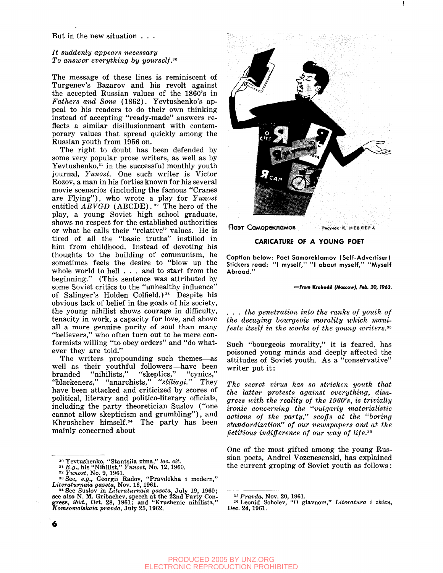#### But in the new situation . . .

#### *It suddenly appears necessary To ansiver everything by yourself.so*

The message of these lines is reminiscent of Turgenev's Bazarov and his revolt against the accepted Russian values of the 1860's in *Fathers and Sons* (1862). Yevtushenko's appeal to his readers to do their own thinking instead of accepting "ready-made" answers reflects a similar disillusionment with contemporary values that spread quickly among the Russian youth from 1956 on.

The right to doubt has been defended by some very popular prose writers, as well as by Yevtushenko, $31$  in the successful monthly youth journal, *Yunost.* One such writer is Victor Rozov, a man in his forties known for his several movie scenarios (including the famous "Cranes are Flying"), who wrote a play for *Yunost* entitled *ABVGD* (ABCDE).<sup>32</sup> The hero of the play, a young Soviet high school graduate, shows no respect for the established authorities or what he calls their "relative" values. He is tired of all the "basic truths" instilled in him from childhood. Instead of devoting his thoughts to the building of communism, he sometimes feels the desire to "blow up the whole world to hell . . . and to start from the beginning." (This sentence was attributed by some Soviet critics to the "unhealthy influence" of Salinger's Holden Colfield.)<sup>33</sup> Despite his obvious lack of belief in the goals of his society, the young nihilist shows courage in difficulty, tenacity in work, a capacity for love, and above all a more genuine purity of soul than many "believers," who often turn out to be mere conformists willing "to obey orders" and "do whatever they are told."

The writers propounding such themes—as well as their youthful followers—have been branded "nihilists," "skeptics," "cynics," "blackeners," "anarchists," *"stiliagi."* They have been attacked and criticized by scores of political, literary and politico-literary officials, including the party theoretician Suslov ("one cannot allow skepticism and grumbling"), and Khrushchev himself.<sup>34</sup> The party has been mainly concerned about



**ПОЭТ Саморекламов Рисунок К. НЕВЛЕРА** 

#### **CARICATURE OF A YOUNG POET**

**Caption below: Poet Samoreklamov (Self-Advertiser) Stickers read: "I myself," "I about myself," "Myself Abroad."**

#### **—From Krokedil** *(Motcow), Hb. 20, 1963.*

*. . . the penetration into the ranks of youth of the decaying bourgeois morality which manifests itself in the works of the young writers.\*\**

Such "bourgeois morality," it is feared, has poisoned young minds and deeply affected the attitudes of Soviet youth. As a "conservative" writer put it:

*The secret virus has so stricken youth that the latter protests against everything, disagrees with the reality of the 1960's, is trivially ironic concerning the "vulgarly materialistic actions of the party," scoffs at the "boring standardization" of our newspapers and at the fictitious indifference of our way of life.<sup>36</sup>*

One of the most gifted among the young Russian poets, Andrei Vozenesenski, has explained the current groping of Soviet youth as follows:

<sup>&</sup>lt;sup>30</sup> Yevtushenko, "Stantsiia zima," loc. cit.<br><sup>31</sup> E.g., his "Nihilist," Yunost, No. 12, 1960.<br><sup>32</sup> Yunost, No. 9, 1961.<br><sup>33</sup> See, *e.g.*, Georgii Radov, "Pravdokha i modern,"<br>Literaturnaia gazeta, Nov. 16, 1961.

<sup>&</sup>lt;sup>34</sup> See Suslov in *Literaturnaia gazeta*, July 19, 1960;<br>see also N. M. Gribachev, speech at the 22nd Party Congress, *ibid.*, Oct. 28, 1961; and "Krushenie nihilista,"<br>Komsomolskaia pravda, July 25, 1962.

<sup>35</sup>  *Pravda,* Nov. 20, 1961. 36 Leonid Sobolev, "O glavnom," *Literatura i zhizn,* Dec. 24,1961.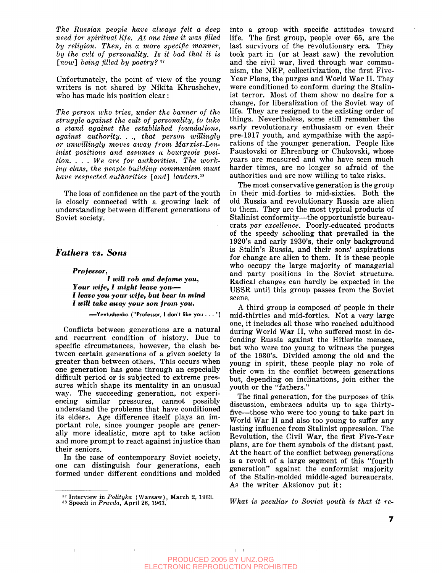*The Russian people have always felt a deep need for spiritual life. At one time it was filled by religion. Then, in a more specific manner, by the cult of personality. Is it bad that it is [now] being filled by poetry? S7*

Unfortunately, the point of view of the young writers is not shared by Nikita Khrushchev, who has made his position clear:

*The person ivho tries, under the banner of the struggle against the cult of personality, to take a stand against the established foundations, against authority. .* ., *that person willingly or unwillingly moves away from Marxist-Leninist positions and assumes a bourgeois position. . . . We are for authorities. The working class, the people building communism must have respected authorities [and] leaders.™*

The loss of confidence on the part of the youth is closely connected with a growing lack of understanding between different generations of Soviet society.

#### *Fathers vs. Sons*

*Professor, I will rob and defame you,*

*Your wife, I might leave you***— /** *leave you your wife, but bear in mind I will take away your son from you.*

**—Yevtushenko ("Professor, I don't like you . . . ")**

Conflicts between generations are a natural and recurrent condition of history. Due to specific circumstances, however, the clash between certain generations of a given society is greater than between others. This occurs when one generation has gone through an especially difficult period or is subjected to extreme pressures which shape its mentality in an unusual way. The succeeding generation, not experiencing similar pressures, cannot possibly understand the problems that have conditioned its elders. Age difference itself plays an important role, since younger people are generally more idealistic, more apt to take action and more prompt to react against injustice than their seniors.

In the case of contemporary Soviet society, one can distinguish four generations, each formed under different conditions and molded

into a group with specific attitudes toward life. The first group, people over 65, are the last survivors of the revolutionary era. They took part in (or at least saw) the revolution and the civil war, lived through war communism, the NEP, collectivization, the first Five-Year Plans, the purges and World War II. They were conditioned to conform during the Stalinist terror. Most of them show no desire for a change, for liberalization of the Soviet way of life. They are resigned to the existing order of things. Nevertheless, some still remember the early revolutionary enthusiasm or even their pre-1917 youth, and sympathize with the aspirations of the younger generation. People like Paustovski or Ehrenburg or Chukovski, whose years are measured and who have seen much harder times, are no longer so afraid of the authorities and are now willing to take risks.

The most conservative generation is the group in their mid-forties to mid-sixties. Both the old Russia and revolutionary Russia are alien to them. They are the most typical products of Stalinist conformity—the opportunistic bureaucrats *par excellence.* Poorly-educated products of the speedy schooling that prevailed in the 1920's and early 1930's, their only background is Stalin's Russia, and their sons' aspirations for change are alien to them. It is these people who occupy the large majority of managerial and party positions in the Soviet structure. Radical changes can hardly be expected in the USSR until this group passes from the Soviet scene.

A third group is composed of people in their mid-thirties and mid-forties. Not a very large one, it includes all those who reached adulthood during World War II, who suffered most in defending Russia against the Hitlerite menace, but who were too young to witness the purges of the 1930's. Divided among the old and the young in spirit, these people play no role of their own in the conflict between generations but, depending on inclinations, join either the youth or the "fathers."

The final generation, for the purposes of this discussion, embraces adults up to age thirtyfive—those who were too young to take part in World War II and also too young to suffer any lasting influence from Stalinist oppression. The Revolution, the Civil War, the first Five-Year plans, are for them symbols of the distant past. At the heart of the conflict between generations is a revolt of a large segment of this "fourth generation" against the conformist majority of the Stalin-molded middle-aged bureaucrats. As the writer Aksionov put it:

*What is peculiar to Soviet youth is that it re-*

 $\vert - \vert$ 

<sup>37</sup> Interview in *Polityka* (Warsaw), March 2, 1963.

<sup>38</sup> Speech in *Pravda,* April 26, 1963.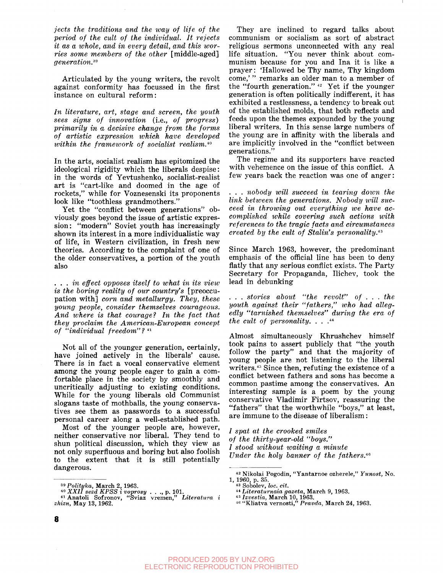*jects the traditions and the way of life of the period of the cult of the individual. It rejects it as a whole, and in every detail, and this worries some members of the other* [middle-aged] *generation.<sup>39</sup>*

Articulated by the young writers, the revolt against conformity has focussed in the first instance on cultural reform:

*In literature, art, stage and screen, the youth sees signs of innovation* (i.e., *of progress) primarily in a decisive change from the forms of artistic expression which have developed within the framework of socialist realism.™*

In the arts, socialist realism has epitomized the ideological rigidity which the liberals despise: in the words of Yevtushenko, socialist-realist art is "cart-like and doomed in the age of rockets," while for Voznesenski its proponents look like "toothless grandmothers."

Yet the "conflict between generations" obviously goes beyond the issue of artistic expression: "modern" Soviet youth has increasingly shown its interest in a more individualistic way of life, in Western civilization, in fresh new theories. According to the complaint of one of the older conservatives, a portion of the youth also

. . . *in effect opposes itself to what in its view is the boring reality of our country's* [preoccupation with] *corn and metallurgy. They, these young people, consider themselves courageous. And where is that courage? In the fact that they proclaim the American-European concept of "individual freedom" ?*<sup>41</sup>

Not all of the younger generation, certainly, have joined actively in the liberals' cause. There is in fact a vocal conservative element among the young people eager to gain a comfortable place in the society by smoothly and uncritically adjusting to existing conditions. While for the young liberals old Communist slogans taste of mothballs, the young conservatives see them as passwords to a successful personal career along a well-established path.

Most of the younger people are, however, neither conservative nor liberal. They tend to shun political discussion, which they view as not only superfluous and boring but also foolish to the extent that it is still potentially dangerous.

They are inclined to regard talks about communism or socialism as sort of abstract religious sermons unconnected with any real life situation. "You never think about communism because for you and Ina it is like a prayer: 'Hallowed be Thy name, Thy kingdom come,' " remarks an older man to a member of the "fourth generation."  $42$  Yet if the younger generation is often politically indifferent, it has exhibited a restlessness, a tendency to break out of the established molds, that both reflects and feeds upon the themes expounded by the young liberal writers. In this sense large numbers of the young are in affinity with the liberals and are implicitly involved in the "conflict between generations."

The regime and its supporters have reacted with vehemence on the issue of this conflict. A few years back the reaction was one of anger:

. . . *nobody will succeed in tearing down the link between the generations. Nobody will succeed in throwing out everything we have accomplished while covering such actions with references to the tragic facts and circumstances created by the cult of Stalin's personality.<sup>43</sup>*

Since March 1963, however, the predominant emphasis of the official line has been to deny flatly that any serious conflict exists. The Party Secretary for Propaganda, Ilichev, took the lead in debunking

. . . *stories about "the revolt" of .* . . *the youth against their "fathers," who had allegedly "tarnished themselves" during the era of the cult of personality. . .* . 44

Almost simultaneously Khrushchev himself took pains to assert publicly that "the youth follow the party" and that the majority of young people are not listening to the liberal writers.<sup>45</sup> Since then, refuting the existence of a conflict between fathers and sons has become a common pastime among the conservatives. An interesting sample is a poem by the young conservative Vladimir Firtsov, reassuring the "fathers" that the worthwhile "boys," at least, are immune to the disease of liberalism:

*I spat at the crooked smiles of the thirty-year-old "boys." I stood without waiting a minute Under the holy banner of the fathers.<sup>46</sup>*

<sup>&</sup>lt;sup>39</sup> Polityka, March 2, 1963.<br>
<sup>40</sup> XXII sezd KPSS i voprosy . . ., p. 101.<br>
<sup>41</sup> Anatoli Sofronov, "Sviaz vremen," *Literatura i*<br> *zhizn*, May 13, 1962.

<sup>42</sup> Nikolai Pogodin, "Yantarnoe ozherele," *Yunost,* No. 1, 1960, p. 35.<br>
<sup>43</sup> Sobolev, *loc. cit.*<br>
<sup>44</sup> *Literaturnaia gazeta*, March 9, 1963.<br>
<sup>45</sup> *Izvestia*, March 10, 1963.<br>
<sup>46</sup> "Kliatva vernosti," *Pravda*, March 24, 1963.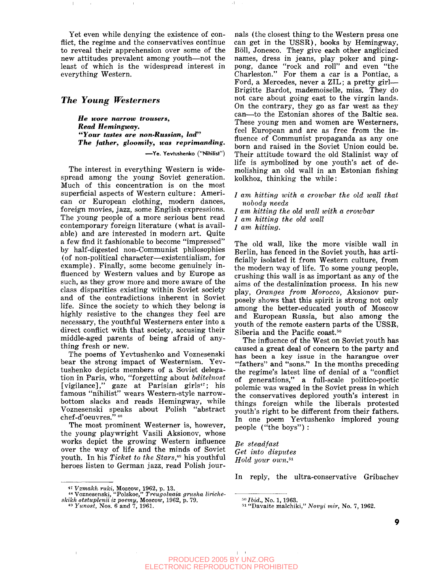Yet even while denying the existence of conflict, the regime and the conservatives continue to reveal their apprehension over some of the new attitudes prevalent among youth—not the least of which is the widespread interest in everything Western.

#### *The Young Westerners*

*He wore narrow trousers, Read Hemingway. "Your tastes are non-Russian, lad" The father, gloomily, was reprimanding.*

**—Ye. Yevtushenko ("Nihilist")**

The interest in everything Western is widespread among the young Soviet generation. Much of this concentration is on the most superficial aspects of Western culture: American or European clothing, modern dances, foreign movies, jazz, some English expressions. The young people of a more serious bent read contemporary foreign literature (what is available) and are interested in modern art. Quite a few find it fashionable to become "impressed" by half-digested non-Communist philosophies (of non-political character—existentialism, for example). Finally, some become genuinely influenced by Western values and by Europe as such, as they grow more and more aware of the class disparities existing within Soviet society and of the contradictions inherent in Soviet life. Since the society to which they belong is highly resistive to the changes they feel are necessary, the youthful Westerners enter into a direct conflict with that society, accusing their middle-aged parents of being afraid of anything fresh or new.

The poems of Yevtushenko and Voznesenski bear the strong impact of Westernism. Yevtushenko depicts members of a Soviet delegation in Paris, who, "forgetting about *bditelnost* [vigilance]," gaze at Parisian girls<sup>47</sup>; his famous "nihilist" wears Western-style narrowbottom slacks and reads Hemingway, while Voznesenski speaks about Polish "abstract chef-d'oeuvres." 48

The most prominent Westerner is, however, the young playwright Vasili Aksionov, whose works depict the growing Western influence over the way of life and the minds of Soviet youth. In his *Ticket to the Stars,\*<sup>9</sup>* his youthful heroes listen to German jazz, read Polish jour-

nals (the closest thing to the Western press one can get in the USSR), books by Hemingway, Boll, Jonesco. They give each other anglicized names, dress in jeans, play poker and pingpong, dance "rock and roll" and even "the Charleston." For them a car is a Pontiac, a Ford, a Mercedes, never a ZIL; a pretty girl— Brigitte Bardot, mademoiselle, miss. They do not care about going east to the virgin lands. On the contrary, they go as far west as they can—to the Estonian shores of the Baltic sea. These young men and women are Westerners, feel European and are as free from the influence of Communist propaganda as any one born and raised in the Soviet Union could be. Their attitude toward the old Stalinist way of life is symbolized by one youth's act of demolishing an old wall in an Estonian fishing kolkhoz, thinking the while:

/ *am hitting with a crowbar the old wall that nobody needs*

*I am hitting the old tvall with a crowbar*

*I am hitting the old wall*

*I am hitting.*

 $\pm 1$  .

The old wall, like the more visible wall in Berlin, has fenced in the Soviet youth, has artificially isolated it from Western culture, from the modern way of life. To some young people, crushing this wall is as important as any of the aims of the destalinization process. In his new play, *Oranges from Morocco,* Aksionov purposely shows that this spirit is strong not only among the better-educated youth of Moscow and European Russia, but also among the youth of the remote eastern parts of the USSR, Siberia and the Pacific coast.<sup>50</sup>

The influence of the West on Soviet youth has caused a great deal of concern to the party and has been a key issue in the harangue over "fathers" and "sons." In the months preceding the regime's latest line of denial of a "conflict of generations," a full-scale politico-poetic polemic was waged in the Soviet press in which the conservatives deplored youth's interest in things foreign while the liberals protested youth's right to be different from their fathers. In one poem Yevtushenko implored young people ("the boys") :

*Be steadfast Get into disputes Hold your own. 51*

In reply, the ultra-conservative Gribachev

50  *Ibid.,* No. 1,1963.

 $\mathbf{1}$ 

*<sup>\*&</sup>quot;' Vzmakh ruki,* Moscow, 1962, p. 13. 48 Voznesenski, "Polskoe," *Treugolnaia grusha liriche-skikh otstuplenii iz poemy,* Moscow, 1962, p. 79. 40

*Yunost,* Nos. 6 and 7, 1961.

<sup>51</sup> "Davaite malchiki," *Novyi mir,* No. 7, 1962.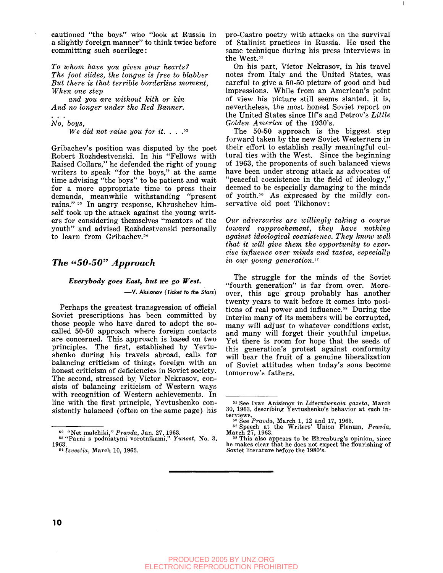cautioned "the boys" who "look at Russia in a slightly foreign manner" to think twice before committing such sacrilege:

*To whom have you given your hearts? The foot slides, the tongue is free to blabber But there is that terrible borderline moment, When one step*

*and you are without kith or kin And no longer under the Red Banner.*

*No, boys,*

*We did not raise you for it. . .* . 52

Gribachev's position was disputed by the poet Robert Rozhdestvenski. In his "Fellows with Raised Collars," he defended the right of young writers to speak "for the boys," at the same time advising "the boys" to be patient and wait for a more appropriate time to press their demands, meanwhile withstanding "present rains." 53 In angry response, Khrushchev himself took up the attack against the young writers for considering themselves "mentors of the youth" and advised Rozhdestvenski personally to learn from Gribachev.<sup>54</sup>

#### *The "50-50" Approach*

#### *Everybody goes East, but we go West.*

**— V . Aksionov (Ticket to the Stars)**

Perhaps the greatest transgression of official Soviet prescriptions has been committed by those people who have dared to adopt the socalled 50-50 approach where foreign contacts are concerned. This approach is based on two principles. The first, established by Yevtushenko during his travels abroad, calls for balancing criticism of things foreign with an honest criticism of deficiencies in Soviet society. The second, stressed by. Victor Nekrasov, consists of balancing criticism of Western ways with recognition of Western achievements. In line with the first principle, Yevtushenko consistently balanced (often on the same page) his pro-Castro poetry with attacks on the survival of Stalinist practices in Russia. He used the same technique during his press interviews in the West.<sup>55</sup>

On his part, Victor Nekrasov, in his travel notes from Italy and the United States, was careful to give a 50-50 picture of good and bad impressions. While from an American's point of view his picture still seems slanted, it is, nevertheless, the most honest Soviet report on the United States since Ilf's and Petrov's *Little Golden America* of the 1930's.

The 50-50 approach is the biggest step forward taken by the new Soviet Westerners in their effort to establish really meaningful cultural ties with the West. Since the beginning of 1963, the proponents of such balanced views have been under strong attack as advocates of "peaceful coexistence in the field of ideology," deemed to be especially damaging to the minds of youth.<sup>56</sup> As expressed by the mildly conservative old poet Tikhonov:

*Our adversaries are willingly taking a course toward rapprochement, they have nothing against ideological coexistence. They know well that it will give them the opportunity to exercise influence over minds and tastes, especially in our young generation.<sup>57</sup>*

The struggle for the minds of the Soviet "fourth generation" is far from over. Moreover, this age group probably has another twenty years to wait before it comes into positions of real power and influence.<sup>58</sup> During the interim many of its members will be corrupted, many will adjust to whatever conditions exist. and many will forget their youthful impetus. Yet there is room for hope that the seeds of this generation's protest against conformity will bear the fruit of a genuine liberalization of Soviet attitudes when today's sons become tomorrow's fathers.

<sup>62</sup> "Net malchiki," *Prayda,* Jan. 27, 1963.

<sup>53 &</sup>quot;Parni s podniatymi vorotnikami," *Yunost,* No. 3, 1963.

s4  *Izvestia,* March 10, 1963.

<sup>53</sup> See Ivan Anisimov in *Literaturnaia gazeta,* March 30, 1963, describing Yevtushenko's behavior at such interviews.

<sup>50</sup> See *Pravda,* March 1, 12 and 17, 1963. 57 Speech at the Writers' Union Plenum, *Pravda,* March 27, 1963. 58 This also appears to be Ehrenburg's opinion, since

he makes clear that he does not expect the flourishing of Soviet literature before the 1980's.